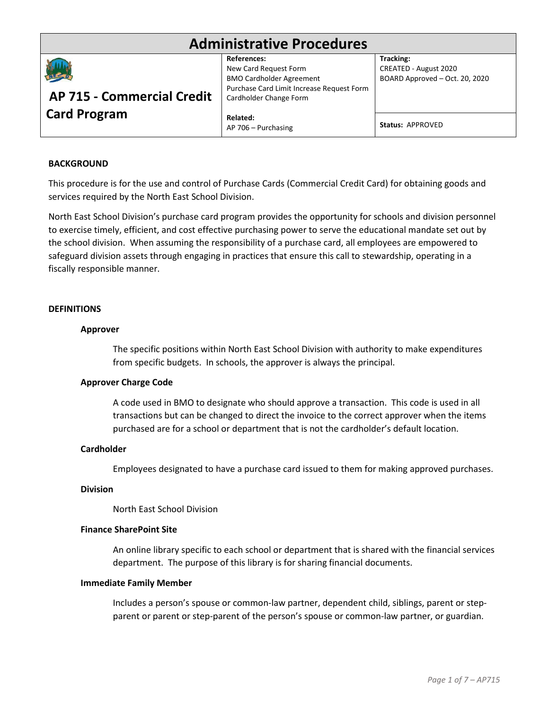# **Administrative Procedures**



# **AP 715 - Commercial Credit Card Program**

**References:**  New Card Request Form BMO Cardholder Agreement Purchase Card Limit Increase Request Form Cardholder Change Form

**Tracking:** CREATED - August 2020 BOARD Approved – Oct. 20, 2020

**Related:** AP 706 – Purchasing

**Status:** APPROVED

## **BACKGROUND**

This procedure is for the use and control of Purchase Cards (Commercial Credit Card) for obtaining goods and services required by the North East School Division.

North East School Division's purchase card program provides the opportunity for schools and division personnel to exercise timely, efficient, and cost effective purchasing power to serve the educational mandate set out by the school division. When assuming the responsibility of a purchase card, all employees are empowered to safeguard division assets through engaging in practices that ensure this call to stewardship, operating in a fiscally responsible manner.

## **DEFINITIONS**

## **Approver**

The specific positions within North East School Division with authority to make expenditures from specific budgets. In schools, the approver is always the principal.

### **Approver Charge Code**

A code used in BMO to designate who should approve a transaction. This code is used in all transactions but can be changed to direct the invoice to the correct approver when the items purchased are for a school or department that is not the cardholder's default location.

### **Cardholder**

Employees designated to have a purchase card issued to them for making approved purchases.

# **Division**

North East School Division

### **Finance SharePoint Site**

An online library specific to each school or department that is shared with the financial services department. The purpose of this library is for sharing financial documents.

### **Immediate Family Member**

Includes a person's spouse or common-law partner, dependent child, siblings, parent or stepparent or parent or step-parent of the person's spouse or common-law partner, or guardian.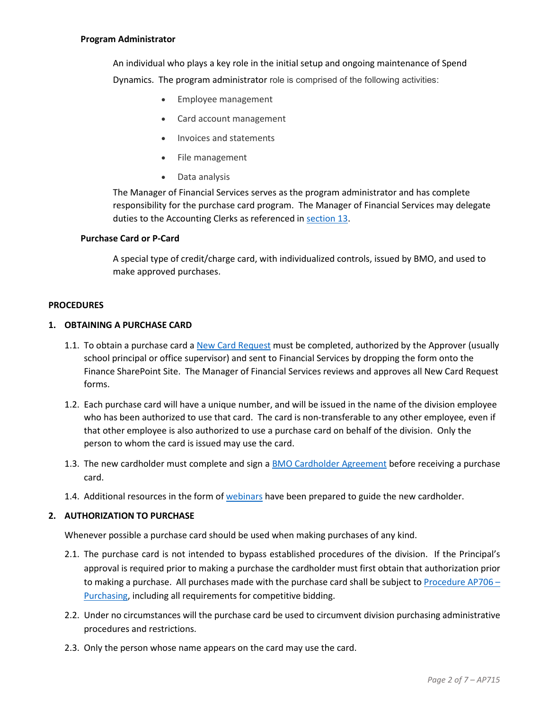## **Program Administrator**

An individual who plays a key role in the initial setup and ongoing maintenance of Spend Dynamics. The program administrator role is comprised of the following activities:

- Employee management
- Card account management
- Invoices and statements
- File management
- Data analysis

The Manager of Financial Services serves as the program administrator and has complete responsibility for the purchase card program. The Manager of Financial Services may delegate duties to the Accounting Clerks as referenced in [section 13.](#page-5-0)

#### **Purchase Card or P-Card**

A special type of credit/charge card, with individualized controls, issued by BMO, and used to make approved purchases.

#### **PROCEDURES**

# **1. OBTAINING A PURCHASE CARD**

- 1.1. To obtain a purchase card a [New Card Request](https://nesdca.sharepoint.com/:b:/r/sites/NESDResources/NE_Forms/BMO-New%20Card%20Request.pdf?csf=1&web=1&e=fjhU1c) must be completed, authorized by the Approver (usually school principal or office supervisor) and sent to Financial Services by dropping the form onto the Finance SharePoint Site. The Manager of Financial Services reviews and approves all New Card Request forms.
- 1.2. Each purchase card will have a unique number, and will be issued in the name of the division employee who has been authorized to use that card. The card is non-transferable to any other employee, even if that other employee is also authorized to use a purchase card on behalf of the division. Only the person to whom the card is issued may use the card.
- 1.3. The new cardholder must complete and sign a [BMO Cardholder Agreement](https://nesdca.sharepoint.com/:b:/r/sites/NESDResources/NE_Forms/BMO-Cardholder%20Agreement.pdf?csf=1&web=1&e=1F1UWk) before receiving a purchase card.
- 1.4. Additional resources in the form of [webinars](https://nesdca.sharepoint.com/:b:/r/sites/NESDResources/NE/Finance_BMO%20Reference%20Documents/BMO%20Spend%20Dynamics%20Webinar%20List-FIN.pdf?csf=1&web=1&e=wkyYLn) have been prepared to guide the new cardholder.

### **2. AUTHORIZATION TO PURCHASE**

Whenever possible a purchase card should be used when making purchases of any kind.

- 2.1. The purchase card is not intended to bypass established procedures of the division. If the Principal's approval is required prior to making a purchase the cardholder must first obtain that authorization prior to making a purchase. All purchases made with the purchase card shall be subject to Procedure AP706 -[Purchasing,](https://www.nesd.ca/pdf/56928100/89510945/56928241#AP_706-Purchasing.pdf) including all requirements for competitive bidding.
- 2.2. Under no circumstances will the purchase card be used to circumvent division purchasing administrative procedures and restrictions.
- 2.3. Only the person whose name appears on the card may use the card.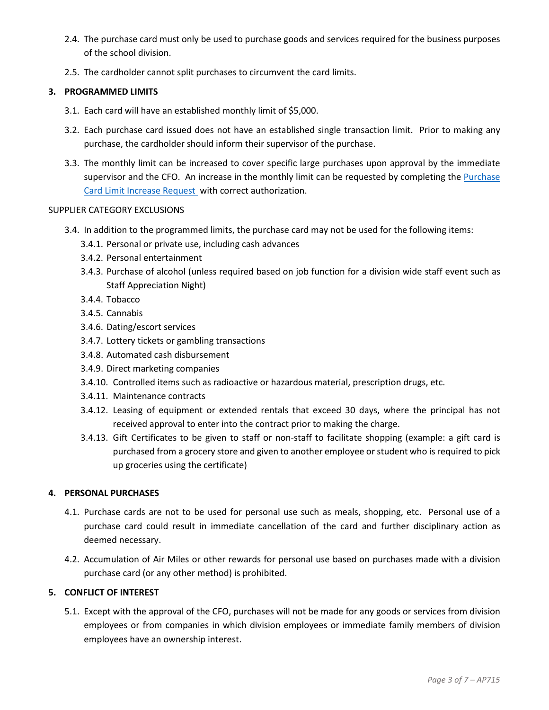- 2.4. The purchase card must only be used to purchase goods and services required for the business purposes of the school division.
- 2.5. The cardholder cannot split purchases to circumvent the card limits.

# **3. PROGRAMMED LIMITS**

- 3.1. Each card will have an established monthly limit of \$5,000.
- 3.2. Each purchase card issued does not have an established single transaction limit. Prior to making any purchase, the cardholder should inform their supervisor of the purchase.
- 3.3. The monthly limit can be increased to cover specific large purchases upon approval by the immediate supervisor and the CFO. An increase in the monthly limit can be requested by completing the Purchase [Card Limit Increase Request](https://nesdca.sharepoint.com/:b:/r/sites/NESDResources/NE_Forms/BMO%20Credit%20Limit%20Increase%20Request.pdf?csf=1&web=1&e=8XNFVe) with correct authorization.

# SUPPLIER CATEGORY EXCLUSIONS

- 3.4. In addition to the programmed limits, the purchase card may not be used for the following items:
	- 3.4.1. Personal or private use, including cash advances
	- 3.4.2. Personal entertainment
	- 3.4.3. Purchase of alcohol (unless required based on job function for a division wide staff event such as Staff Appreciation Night)
	- 3.4.4. Tobacco
	- 3.4.5. Cannabis
	- 3.4.6. Dating/escort services
	- 3.4.7. Lottery tickets or gambling transactions
	- 3.4.8. Automated cash disbursement
	- 3.4.9. Direct marketing companies
	- 3.4.10. Controlled items such as radioactive or hazardous material, prescription drugs, etc.
	- 3.4.11. Maintenance contracts
	- 3.4.12. Leasing of equipment or extended rentals that exceed 30 days, where the principal has not received approval to enter into the contract prior to making the charge.
	- 3.4.13. Gift Certificates to be given to staff or non-staff to facilitate shopping (example: a gift card is purchased from a grocery store and given to another employee or student who is required to pick up groceries using the certificate)

# **4. PERSONAL PURCHASES**

- 4.1. Purchase cards are not to be used for personal use such as meals, shopping, etc. Personal use of a purchase card could result in immediate cancellation of the card and further disciplinary action as deemed necessary.
- 4.2. Accumulation of Air Miles or other rewards for personal use based on purchases made with a division purchase card (or any other method) is prohibited.

# **5. CONFLICT OF INTEREST**

5.1. Except with the approval of the CFO, purchases will not be made for any goods or services from division employees or from companies in which division employees or immediate family members of division employees have an ownership interest.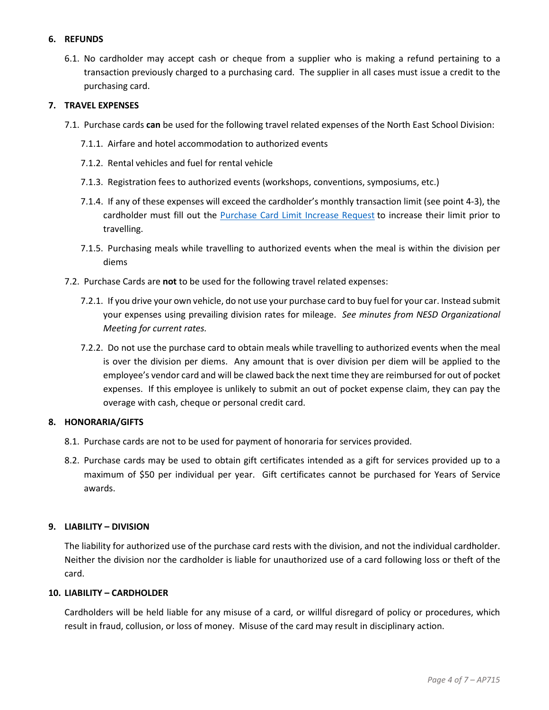# **6. REFUNDS**

6.1. No cardholder may accept cash or cheque from a supplier who is making a refund pertaining to a transaction previously charged to a purchasing card. The supplier in all cases must issue a credit to the purchasing card.

# **7. TRAVEL EXPENSES**

- 7.1. Purchase cards **can** be used for the following travel related expenses of the North East School Division:
	- 7.1.1. Airfare and hotel accommodation to authorized events
	- 7.1.2. Rental vehicles and fuel for rental vehicle
	- 7.1.3. Registration fees to authorized events (workshops, conventions, symposiums, etc.)
	- 7.1.4. If any of these expenses will exceed the cardholder's monthly transaction limit (see point 4-3), the cardholder must fill out the [Purchase Card Limit Increase Request](https://nesdca.sharepoint.com/:b:/r/sites/NESDResources/NE_Forms/BMO%20Credit%20Limit%20Increase%20Request.pdf?csf=1&web=1&e=8XNFVe) to increase their limit prior to travelling.
	- 7.1.5. Purchasing meals while travelling to authorized events when the meal is within the division per diems
- 7.2. Purchase Cards are **not** to be used for the following travel related expenses:
	- 7.2.1. If you drive your own vehicle, do not use your purchase card to buy fuel for your car. Instead submit your expenses using prevailing division rates for mileage. *See minutes from NESD Organizational Meeting for current rates.*
	- 7.2.2. Do not use the purchase card to obtain meals while travelling to authorized events when the meal is over the division per diems. Any amount that is over division per diem will be applied to the employee's vendor card and will be clawed back the next time they are reimbursed for out of pocket expenses. If this employee is unlikely to submit an out of pocket expense claim, they can pay the overage with cash, cheque or personal credit card.

### **8. HONORARIA/GIFTS**

- 8.1. Purchase cards are not to be used for payment of honoraria for services provided.
- 8.2. Purchase cards may be used to obtain gift certificates intended as a gift for services provided up to a maximum of \$50 per individual per year. Gift certificates cannot be purchased for Years of Service awards.

### **9. LIABILITY – DIVISION**

The liability for authorized use of the purchase card rests with the division, and not the individual cardholder. Neither the division nor the cardholder is liable for unauthorized use of a card following loss or theft of the card.

## **10. LIABILITY – CARDHOLDER**

Cardholders will be held liable for any misuse of a card, or willful disregard of policy or procedures, which result in fraud, collusion, or loss of money. Misuse of the card may result in disciplinary action.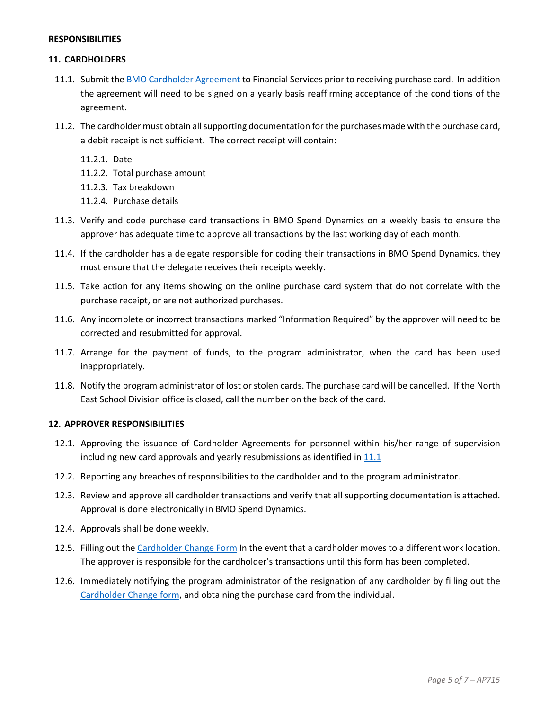### **RESPONSIBILITIES**

## **11. CARDHOLDERS**

- <span id="page-4-0"></span>11.1. Submit the [BMO Cardholder Agreement](https://nesdca.sharepoint.com/:b:/r/sites/NESDResources/NE_Forms/BMO-Cardholder%20Agreement.pdf?csf=1&web=1&e=U51bsq) to Financial Services prior to receiving purchase card. In addition the agreement will need to be signed on a yearly basis reaffirming acceptance of the conditions of the agreement.
- 11.2. The cardholder must obtain all supporting documentation for the purchases made with the purchase card, a debit receipt is not sufficient. The correct receipt will contain:
	- 11.2.1. Date
	- 11.2.2. Total purchase amount
	- 11.2.3. Tax breakdown
	- 11.2.4. Purchase details
- 11.3. Verify and code purchase card transactions in BMO Spend Dynamics on a weekly basis to ensure the approver has adequate time to approve all transactions by the last working day of each month.
- 11.4. If the cardholder has a delegate responsible for coding their transactions in BMO Spend Dynamics, they must ensure that the delegate receives their receipts weekly.
- 11.5. Take action for any items showing on the online purchase card system that do not correlate with the purchase receipt, or are not authorized purchases.
- 11.6. Any incomplete or incorrect transactions marked "Information Required" by the approver will need to be corrected and resubmitted for approval.
- 11.7. Arrange for the payment of funds, to the program administrator, when the card has been used inappropriately.
- 11.8. Notify the program administrator of lost or stolen cards. The purchase card will be cancelled. If the North East School Division office is closed, call the number on the back of the card.

# <span id="page-4-1"></span>**12. APPROVER RESPONSIBILITIES**

- 12.1. Approving the issuance of Cardholder Agreements for personnel within his/her range of supervision including new card approvals and yearly resubmissions as identified in  $11.1$
- 12.2. Reporting any breaches of responsibilities to the cardholder and to the program administrator.
- 12.3. Review and approve all cardholder transactions and verify that all supporting documentation is attached. Approval is done electronically in BMO Spend Dynamics.
- 12.4. Approvals shall be done weekly.
- 12.5. Filling out the [Cardholder Change Form](https://nesdca.sharepoint.com/:b:/r/sites/NESDResources/NE_Forms/BMO-Cardholder%20Agreement.pdf?csf=1&web=1&e=U51bsq) In the event that a cardholder moves to a different work location. The approver is responsible for the cardholder's transactions until this form has been completed.
- 12.6. Immediately notifying the program administrator of the resignation of any cardholder by filling out the [Cardholder Change form,](https://nesdca.sharepoint.com/:b:/r/sites/NESDResources/NE_Forms/BMO-Cardholder%20Agreement.pdf?csf=1&web=1&e=U51bsq) and obtaining the purchase card from the individual.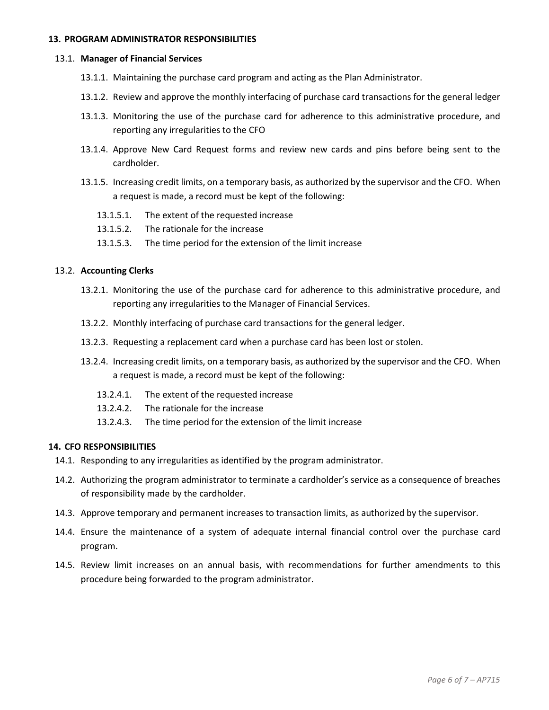## <span id="page-5-0"></span>**13. PROGRAM ADMINISTRATOR RESPONSIBILITIES**

#### 13.1. **Manager of Financial Services**

- 13.1.1. Maintaining the purchase card program and acting as the Plan Administrator.
- 13.1.2. Review and approve the monthly interfacing of purchase card transactions for the general ledger
- 13.1.3. Monitoring the use of the purchase card for adherence to this administrative procedure, and reporting any irregularities to the CFO
- 13.1.4. Approve New Card Request forms and review new cards and pins before being sent to the cardholder.
- 13.1.5. Increasing credit limits, on a temporary basis, as authorized by the supervisor and the CFO. When a request is made, a record must be kept of the following:
	- 13.1.5.1. The extent of the requested increase
	- 13.1.5.2. The rationale for the increase
	- 13.1.5.3. The time period for the extension of the limit increase

## 13.2. **Accounting Clerks**

- 13.2.1. Monitoring the use of the purchase card for adherence to this administrative procedure, and reporting any irregularities to the Manager of Financial Services.
- 13.2.2. Monthly interfacing of purchase card transactions for the general ledger.
- 13.2.3. Requesting a replacement card when a purchase card has been lost or stolen.
- 13.2.4. Increasing credit limits, on a temporary basis, as authorized by the supervisor and the CFO. When a request is made, a record must be kept of the following:
	- 13.2.4.1. The extent of the requested increase
	- 13.2.4.2. The rationale for the increase
	- 13.2.4.3. The time period for the extension of the limit increase

## **14. CFO RESPONSIBILITIES**

- 14.1. Responding to any irregularities as identified by the program administrator.
- 14.2. Authorizing the program administrator to terminate a cardholder's service as a consequence of breaches of responsibility made by the cardholder.
- 14.3. Approve temporary and permanent increases to transaction limits, as authorized by the supervisor.
- 14.4. Ensure the maintenance of a system of adequate internal financial control over the purchase card program.
- 14.5. Review limit increases on an annual basis, with recommendations for further amendments to this procedure being forwarded to the program administrator.